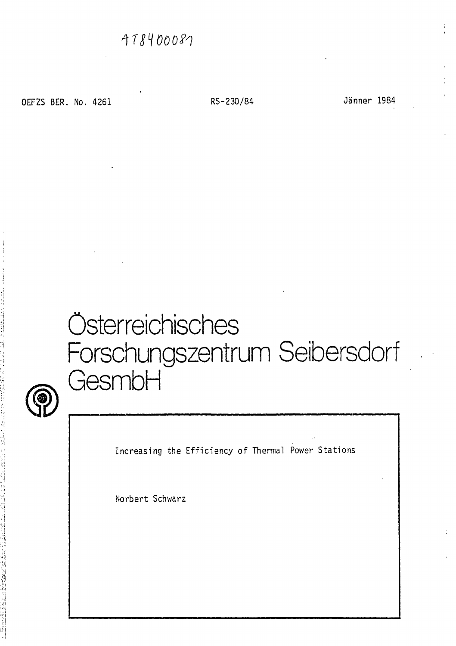OEFZS BER. No. 4261 RS-230/84 Jänner 1984

# Österreichisches Forschungszentrum Seibersdorf GesmbH



Increasing the Efficiency of Thermal Power Stations

Norbert Schwarz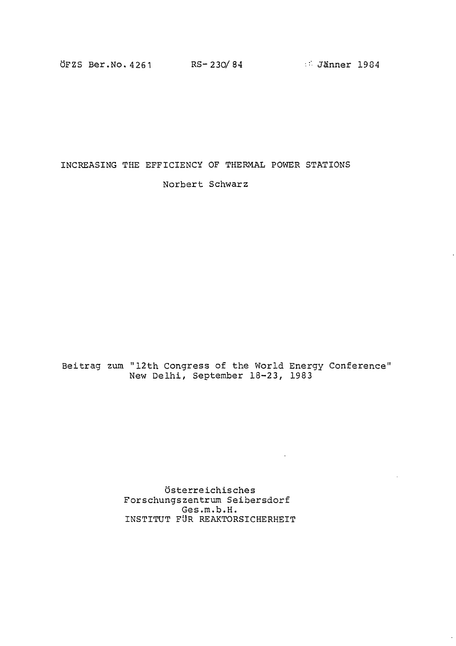ÖFZS Ber.No. 4261 RS-230/84 3 Jänner 1984

INCREASING THE EFFICIENCY OF THERMAL POWER STATIONS Norbert Schwarz

Beitrag zum "12th Congress of the World Energy Conference" New Delhi, September 18-23, 1983

 $\sim 10^{-10}$ 

Österreichisches Forschungszentrum Seibersdorf Ges.m.b.H. INSTITUT FÜR REAKTORSICHERHEIT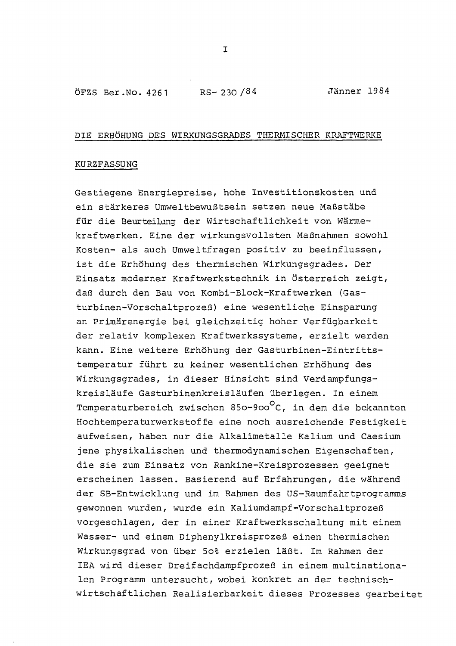ÖFZS Ber.No. 4261 RS- 230 /84 Jänner 1984

#### DIE ERHÖHUNG DES WIRKUNGSGRADES THERMISCHER KRAFTWERKE

# KURZFASSUNG

Gestiegene Energiepreise, hohe Investitionskosten und ein stärkeres Umweltbewußtsein setzen neue Maßstäbe für die Beurteilung der Wirtschaftlichkeit von Wärmekraftwerken. Eine der wirkungsvollsten Maßnahmen sowohl Kosten- als auch Umweltfragen positiv zu beeinflussen, ist die Erhöhung des thermischen Wirkungsgrades. Der Einsatz moderner Kraftwerkstechnik in Österreich zeigt, daß durch den Bau von Kombi-Block-Kraftwerken (Gasturbinen-Vorschaltprozeß) eine wesentliche Einsparung an Primärenergie bei gleichzeitig hoher Verfügbarkeit der relativ komplexen Kraftwerkssysteme, erzielt werden kann. Eine weitere Erhöhung der Gasturbinen-Eintrittstemperatur führt zu keiner wesentlichen Erhöhung des Wirkungsgrades, in dieser Hinsicht sind Verdampfungskreisläufe Gasturbinenkreisläufen überlegen. In einem Temperaturbereich zwischen 850-900°C, in dem die bekannten Hochtemperaturwerkstoffe eine noch ausreichende Festigkeit aufweisen, haben nur die Alkalimetalle Kalium und Caesium jene physikalischen und thermodynamischen Eigenschaften, die sie zum Einsatz von Rankine-Kreisprozessen geeignet erscheinen lassen. Basierend auf Erfahrungen, die während der SB-Entwicklung und im Rahmen des US-Raumfahrtprogramms gewonnen wurden, wurde ein Kaliumdampf-Vorschaltprozeß vorgeschlagen, der in einer Kraftwerksschaltung mit einem Wasser- und einem Diphenylkreisprozeß einen thermischen Wirkungsgrad von über 5o% erzielen läßt. Im Rahmen der IEA wird dieser Dreifachdampfprozeß in einem multinationalen Programm untersucht, wobei konkret an der technischwirtschaftlichen Realisierbarkeit dieses Prozesses gearbeitet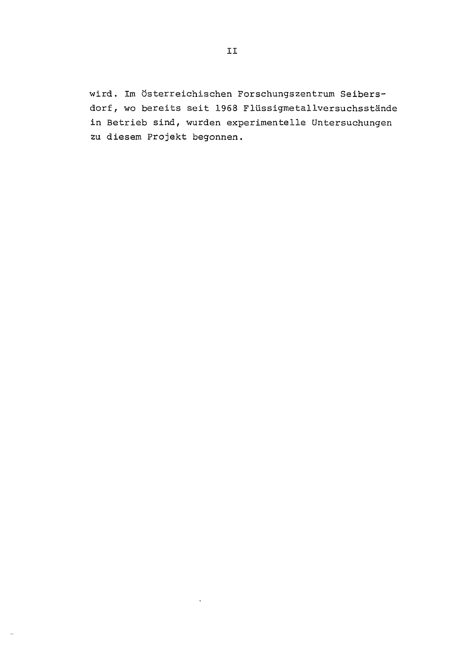wird. Im Österreichischen Forschungszentrum Seibersdorf, wo bereits seit 1968 Flüssigmetallversuchsstände in Betrieb sind, wurden experimentelle Untersuchungen zu diesem Projekt begonnen.

 $\ddot{\phantom{1}}$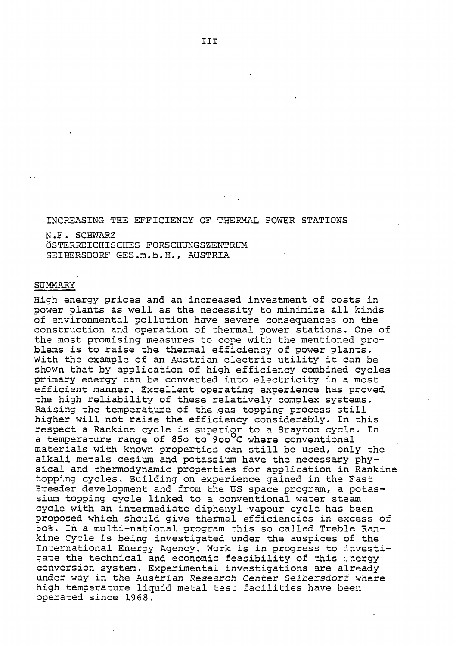INCREASING THE EFFICIENCY OF THERMAL POWER STATIONS

N.F. SCHWARZ ÖSTERREICHISCHES FORSCHUNGSZENTRUM SEIBERSDORF GES.m.b.H., AUSTRIA

#### SUMMARY

High energy prices and an increased investment of costs in power plants as well as the necessity to minimize all kinds of environmental pollution have severe consequences on the construction and operation of thermal power stations. One of the most promising measures to cope with the mentioned problems is to raise the thermal efficiency of power plants. With the example of an Austrian electric utility it can be shown that by application of high efficiency combined cycles primary energy can be converted into electricity in a most efficient manner. Excellent operating experience has proved the high reliability of these relatively complex systems. Raising the temperature of the gas topping process still higher will not raise the efficiency considerably. In this respect a Rankine cycle is superigr to a Brayton cycle. In a temperature range of 850 to 900°C where conventional materials with known properties can still be used, only the alkali metals cesium and potassium have the necessary physical and thermodynamic properties for application in Rankine topping cycles. Building on experience gained in the Fast Breeder development and from the US space program, a potassium topping cycle linked to a conventional water steam cycle with an intermediate diphenyl vapour cycle has been proposed which should give thermal efficiencies in excess of 5o%. In a multi-national program this so called Treble Rankine Cycle is being investigated under the auspices of the International Energy Agency. Work is in progress to investigate the technical and economic feasibility of this energy conversion system. Experimental investigations are already under way in the Austrian Research Center Seibersdorf where high temperature liquid metal test facilities have been operated since 1968.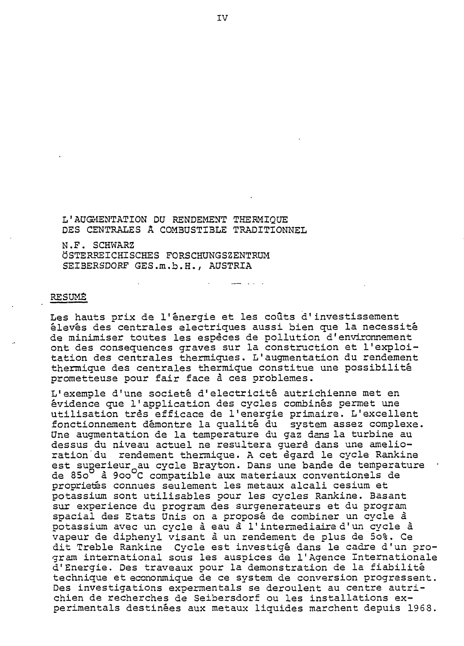L'AUGMENTATION DU RENDEMENT THERMIQUE DES CENTRALES Â COMBUSTIBLE TRADITIONNEL

N.F. SCHWARZ ÖSTERREICHISCHES FORSCHUNGSZENTRUM SSIBERSDORF GES.m.b.H., AUSTRIA

#### RESUME

Les hauts prix de l'énergie et les coûts d'investissement élevés des centrales electriques aussi bien que la necessité de minimiser toutes les espèces de pollution d'environnement ont des consequences graves sur la construction et l'exploitation des centrales thermiques. L'augmentation du rendement thermique des centrales thermique constitue une possibilité prometteuse pour fair face à ces problèmes.

L'exemple d'une societé d'electricité autrichienne met en évidence que 1'application des cycles combinés permet une utilisation très efficace de l'energie primaire. L'excellent fonctionnement démontre la qualité du system assez complexe. Une augmentation de la temperature du gaz dans la turbine au dessus du niveau actuel ne resultera querè dans une amelioration du rendement thermique. A cet égard le cycle Rankine est superieur au cycle Brayton. Dans une bande de temperature de 850<sup>0</sup> à 900<sup>0</sup>C compatible aux materiaux conventionels de propriétés connues seulement les métaux alcali cesium et potassium sont utilisables pour les cycles Rankine. Basant sur experience du program des surgénérateurs et du program spacial des Etats Unis on a proposé de combiner un cycle à potassium avec un cycle à eau à l'intermediaire d'un cycle à vapeur de diphenyl visant à un rendement de plus de 5o%. Ce dit Treble Rankine Cycle est investigé dans le cadre d'un program international sous les auspices de l'Agence Internationale d'Energie. Des traveaux pour la demonstration de la fiabilité technique et econonmique de ce system de conversion progressent. Des investigations expermentals se déroulent au centre autrichien de recherches de Seibersdorf ou les installations experimentals destinées aux metaux liquides marchent depuis 1968.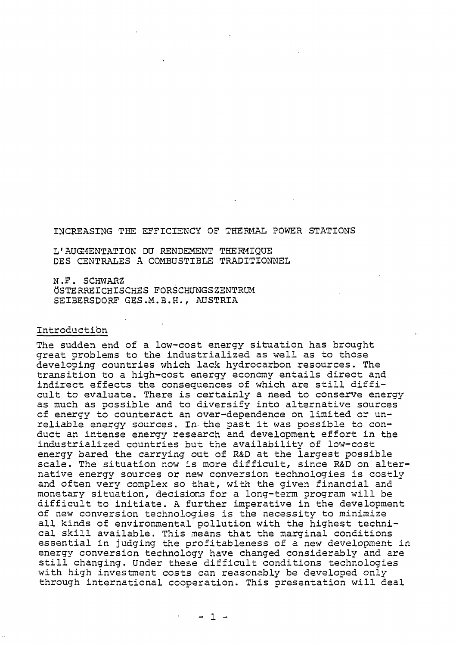#### INCREASING THE EFFICIENCY OF THERMAL POWER STATIONS

L'AUGMENTATION DU RENDEMENT THERMIQUE DES CENTRALES A COMBUSTIBLE TRADITIONNEL

N.F. SCHWARZ ÖSTERREICHISCHES FORSCHUNGSZENTRUM SEIBERSDORF GES.M.B.H., AUSTRIA

# Introduction

The sudden end of a low-cost energy situation has brought great problems to the industrialized as well as to those developing countries which lack hydrocarbon resources. The transition to a high-cost energy economy entails direct and indirect effects the consequences of which are still difficult to evaluate. There is certainly a need to conserve energy as much as possible and to diversify into alternative sources of energy to counteract an over-dependence on limited or unreliable energy sources. In- the past it was possible to conduct an intense energy research and development effort in the industrialized countries but the availability of low-cost energy bared the carrying out of R&D at the largest possible scale. The situation now is more difficult, since R&D on alternative energy sources or new conversion technologies is costly and often very complex so that, with the given financial and monetary situation, decisions for a long-term program will be difficult to initiate. A further imperative in the development of new conversion technologies is the necessity to minimize all kinds of environmental pollution with the highest technical skill available. This means that the marginal conditions essential in judging the profitableness of a new development in energy conversion technology have changed considerably and are still changing. Under these difficult conditions technologies with high investment costs can reasonably be developed only through international cooperation. This presentation will deal

 $- 1 -$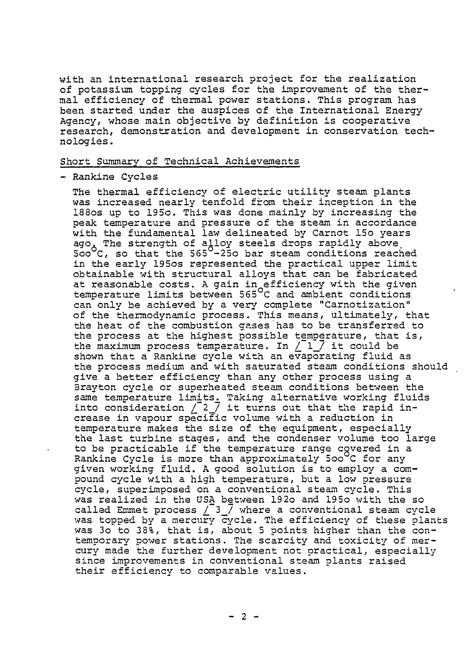with an international research project for the realization of potassium topping cycles for the improvement of the thermal efficiency of thermal power stations. This program has been started under the auspices of the International Energy Agency, whose main objective by definition is cooperative research, demonstration and development in conservation technologies.

# Short Summary of Technical Achievements

- Rankine Cycles

The thermal efficiency of electric utility steam plants was increased nearly tenfold from their inception in the 188os up to 195o. This was done mainly by increasing the peak temperature and pressure of the steam in accordance with the fundamental law delineated by Carnot 15o years ago. The strength of alloy steels drops rapidly above, 5oo<sup>o</sup>C, so that the 565<sup>0</sup>-25o bar steam conditions reached in the early 195os represented the practical upper limit obtainable with structural alloys that can be fabricated at reasonable costs. A gain in efficiency with the given temperature limits between 565°C and ambient conditions can only be achieved by a very complete "Carnotization" of the thermodynamic process. This means, ultimately, that the heat of the combustion gases has to be transferred.to the process at the highest possible temperature, that is, the maximum process temperature. In  $/$  1  $/$  it could be shown that a Rankine cycle with an evaporating fluid as the process medium and with saturated steam conditions should give a better efficiency than any other process using a Brayton cycle or superheated steam conditions between the same temperature limits. Taking alternative working fluids into consideration  $\sqrt{2}$  it turns out that the rapid increase in vapour specific volume with a reduction in temperature makes the size of the equipment, especially the last turbine stages, and the condenser volume too large to be practicable if the temperature range covered in a Rankine Cycle is more than approximately 500°C for any given working fluid. A good solution is to employ a compound cycle with a high temperature, but a low pressure cycle, superimposed on a conventional steam cycle. This was realized in the USA between 192o and 195o with the so was rearracd in the oon between 1920 and 1930 wrth the SO.<br>called Emmet process / 3 / where a conventional steam cycle was topped by a mercury cycle. The efficiency of these plants was 3o to 38%, that is, about 5 points higher than the contemporary power stations. The scarcity and toxicity of mercury made the further development not practical, especially since improvements in conventional steam plants raised their efficiency to comparable values.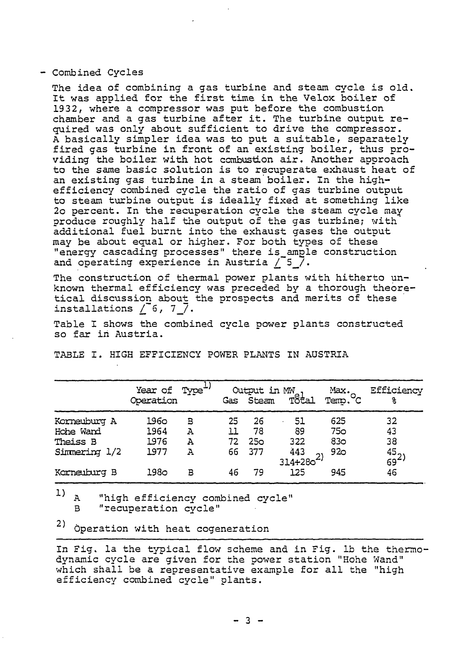#### - Combined Cycles

The idea of combining a gas turbine and steam cycle is old. It was applied for the first time in the Velox boiler of 1932, where a compressor was put before the combustion chamber and a gas turbine after it. The turbine output required was only about sufficient to drive the compressor. A basically simpler idea was to put a suitable, separately fired gas turbine in front of an existing boiler, thus providing the boiler with hot combustion air. Another approach to the same basic solution is to recuperate exhaust heat of an existing gas turbine in a steam boiler. In the highefficiency combined cycle the ratio of gas turbine output to steam turbine output is ideally fixed at something like 2o percent. In the recuperation cycle the steam cycle may produce roughly half the output of the gas turbine; with additional fuel burnt into the exhaust gases the output may be about equal or higher. For both types of these "energy cascading processes" there is\_amgle construction and operating experience in Austria /  $5$  /.

The construction of thermal power plants with hitherto unknown thermal efficiency was preceded by a thorough theoretical discussion about the prospects and merits of these installations  $/$  6, 7 $/$ .

Table I shows the combined cycle power plants constructed so far in Austria.

|                                       | Year of Type <sup>+</sup><br>Operation |             |                 |                             | $\begin{picture}(120,140)(-0.0000,0.0000) \put(0,0){\line(1,0){10}} \put(15,0){\line(1,0){10}} \put(15,0){\line(1,0){10}} \put(15,0){\line(1,0){10}} \put(15,0){\line(1,0){10}} \put(15,0){\line(1,0){10}} \put(15,0){\line(1,0){10}} \put(15,0){\line(1,0){10}} \put(15,0){\line(1,0){10}} \put(15,0){\line(1,0){10}} \put(15,0){\line(1,$ | Max.<br>Term.C                       | Efficiency<br>૬              |
|---------------------------------------|----------------------------------------|-------------|-----------------|-----------------------------|---------------------------------------------------------------------------------------------------------------------------------------------------------------------------------------------------------------------------------------------------------------------------------------------------------------------------------------------|--------------------------------------|------------------------------|
| Korneuburg A<br>Hohe Ward<br>Theiss B | 1960<br>1964<br>1976                   | в<br>А<br>Α | 25<br>11<br>72. | 26<br>78<br>25 <sub>0</sub> | 51<br>89<br>322                                                                                                                                                                                                                                                                                                                             | 625<br><b>750</b><br>83 <sub>0</sub> | 32<br>43<br>38               |
| Simmering 1/2                         | 1977                                   | Α           | 66              | 377                         | 443<br>$314 + 280$                                                                                                                                                                                                                                                                                                                          | 920                                  | $\frac{45}{69}$ <sup>2</sup> |
| Korneuburg B                          | 1980                                   | в           | 46              | 79.                         | 125                                                                                                                                                                                                                                                                                                                                         | 945                                  | 46                           |

TABLE I. HIGH EFFICIENCY POWER PLANTS IN AUSTRIA

 $1)$ A "high efficiency combined cycle" B "recuperation cycle"

<sup>2)</sup> Operation with heat cogeneration

In Fig. la the typical flow scheme and in Fig. 1b the thermodynamic cycle are given for the power station "Hohe Wand" which shall be a representative example for all the "high efficiency combined cycle" plants.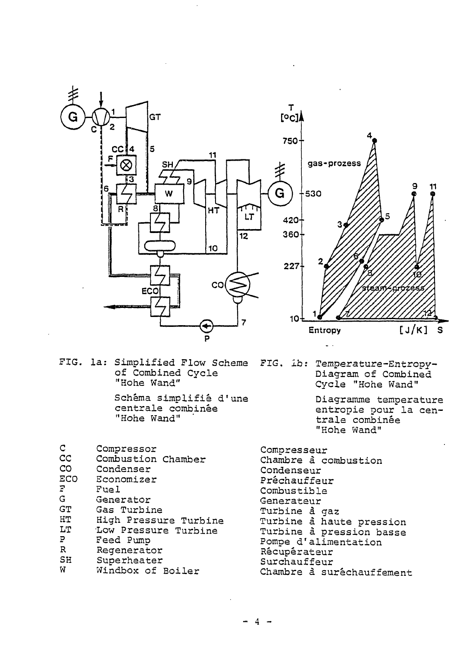

FIG. la: Simplified Plow Scheme of Combined Cycle "Hohe Wand"

Schema simplifie d'une centrale combinee "Hohe Wand" '

FIG. ib: Temperature-Entropy-Diagram of Combined Cycle "Hohe Wand"

> Diagramme temperature entropie pour la centrale combinee "Hohe Wand"

| Compressor            |
|-----------------------|
| Combustion Chamber    |
| Condenser             |
| Economizer            |
| Fuel                  |
| Generator             |
| Gas Turbine           |
| High Pressure Turbine |
| Low Pressure Turbine  |
| Feed Pump             |
| Regenerator           |
| Superheater           |
| Windbox of Boiler     |
|                       |

Compresseur Chambre a combustion Condenseur Prechauffeur Combustible Generateur Turbine à gaz Turbine ä haute pression Turbine a pression basse Pompe d'alimentation Récupérateur Surchauffeur Chambre à suréchauffement

 $-4 -$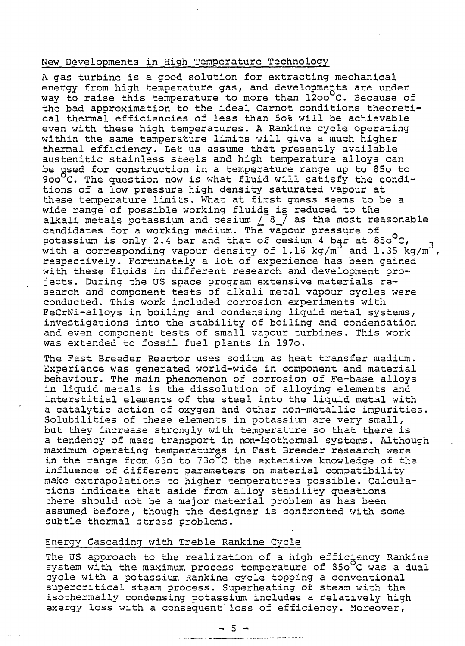# New Developments in High Temperature Technology

A gas turbine is a good solution for extracting mechanical energy from high temperature gas, and developments are under way to raise this temperature to more than 1200 C. Because of the bad approximation to the ideal Carnot conditions theoretical thermal efficiencies of less than 5o% will be achievable even with these high temperatures. A Rankine cycle operating within the same temperature limits will give a much higher thermal efficiency. Let us assume that presently available austenitic stainless steels and high temperature alloys can be used for construction in a temperature range up to 85o to 900°C. The question now is what fluid will satisfy the conditions of a low pressure high density saturated vapour at these temperature limits. What at first guess seems to be a wide range of possible working fluids is reduced to the alkali metals potassium and cesium  $/$   $3$   $/$  as the most reasonable candidates for a working medium. The vapour pressure of potassium is only 2.4 bar and that of cesium 4 bar at  $850^{\circ}$ C, with a corresponding vapour density of 1.16 kg/m<sup>3</sup> and 1.35 kg/m<sup>3</sup>, respectively. Fortunately a lot of experience has been gained with these fluids in different research and development projects. During the US space program extensive materials research and component tests of alkali metal vapour cycles were conducted. This work included corrosion experiments with FeCrNi-alloys in boiling and condensing liquid metal systems, investigations into the stability of boiling and condensation and even component tests of small vapour turbines. This work was extended to fossil fuel plants in 197o.

The Fast Breeder Reactor uses sodium as heat transfer medium. Experience was generated world-wide in component and material behaviour. The main phenomenon of corrosion of Fe-base alloys in liquid metals is the dissolution of alloying elements and interstitial elements of the steel into the liquid metal with a catalytic action of oxygen and other non-metallic impurities. Solubilities of these elements in potassium are very small, but they increase strongly with temperature so that there is a tendency of mass transport in non-isothermal systems. Although maximum operating temperatures in Fast Breeder research were in the range from 650 to 730°C the extensive knowledge of the influence of different parameters on material compatibility make extrapolations to higher temperatures possible. Calculations indicate that aside from alloy stability questions there should not be a major material problem as has been assumed before, though the designer is confronted with some subtle thermal stress problems.

# Energy Cascading with Treble Rankine Cycle

The US approach to the realization of a high efficiency Rankine system with the maximum process temperature of 350°C was a dual cycle with a potassium Rankine cycle topping a conventional supercritical steam process. Superheating of steam with the isothermally condensing potassium includes a relatively high exergy loss with a consequent'loss of efficiency. Moreover,

a laga sebagai termasuk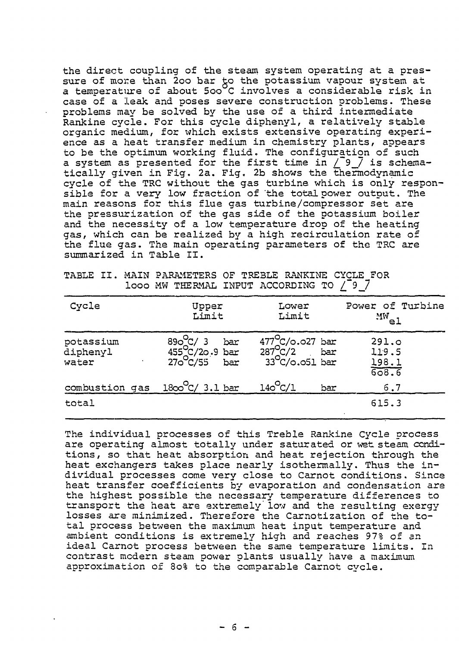the direct coupling of the steam system operating at a pressure of more than 200 bar to the potassium vapour system at a temperature of about 500°C involves a considerable risk in case of a leak and poses severe construction problems. These problems may be solved by the use of a third intermediate Rankine cycle. For this cycle diphenyl, a relatively stable organic medium, for which exists extensive operating experience as a heat transfer medium in chemistry plants, appears to be the optimum working fluid. The configuration of such to be the optimum working fiuld. The configuration of such<br>a system as presented for the first time in  $\bigcirc$  9\_7 is schematically given in Fig. 2a. Fig. 2b shows the thermodynamic cycle of the TRC without the gas turbine which is only responsible for a very low fraction of 'the total power output. The main reasons for this flue gas turbine/compressor set are the pressurization of the gas side of the potassium boiler and the necessity of a low temperature drop of the heating gas, which can be realized by a high recirculation rate of the flue gas. The main operating parameters of the TRC are summarized in Table II.

| Cycle                          | Upper<br>Limit                                             | Lower<br>Limit                                                        | Power of Turbine<br>$\frac{MW_{e1}}{W_{e2}}$ |
|--------------------------------|------------------------------------------------------------|-----------------------------------------------------------------------|----------------------------------------------|
| potassium<br>diphenyl<br>water | $890^{\circ}C/3$ bar<br>455 $C/20.9$ bar<br>270 $C/55$ bar | $477^{\circ}C/\circ.027$ bar<br>287 $C/2$ bar<br>33 $C/\circ.051$ bar | 291.0<br>119.5<br>$\frac{198.1}{608.6}$      |
| combustion gas                 | $1800^{\circ}$ C/ 3.1 bar                                  | $140^{\circ}C/1$<br>bar                                               | 6.7                                          |
| total                          |                                                            |                                                                       | 615.3                                        |

TABLE II. MAIN PARAMETERS OF TREBLE RANKINE CYCLE FOR looo MW THERMAL INPUT ACCORDING TO  $/$ <sup>-9</sup>  $\frac{7}{9}$ 

The individual processes of this Treble Rankine Cycle process are operating almost totally under saturated or wet steam conditions, so that heat absorption and heat rejection through the heat exchangers takes place nearly isothermally. Thus the individual processes come very close to Carnot conditions. Since heat transfer coefficients by evaporation and condensation are the highest possible the necessary temperature differences to transport the heat are extremely low and the resulting exergy losses are minimized. Therefore the Carnotization of the total process between the maximum heat input temperature and ambient conditions is extremely high and reaches 97% of an ideal Carnot process between the same temperature limits. In contrast modern steam power plants usually have a maximum approximation of 80% to the comparable Carnot cycle.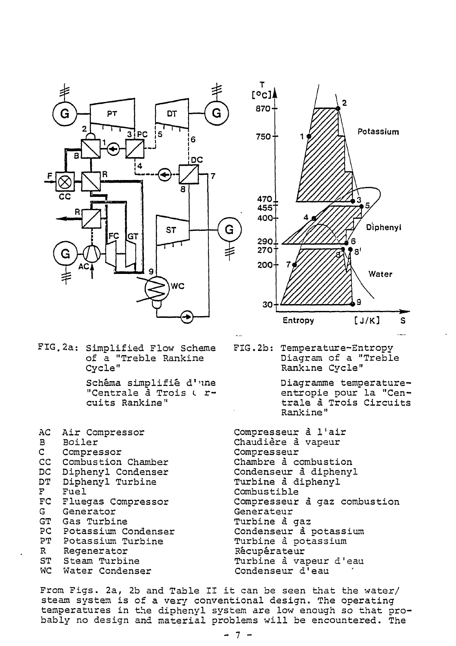

FIG. 2a: Simplified Flow Scheme of a "Treble Rankine Cycle" Schema simplifie d'une "Centrale à Trois ( rcuits Rankine"

AC Air Compressor B Boiler C Compressor<br>CC Combustion CC Combustion Chamber<br>DC Diphenvl Condenser DC Diphenyl Condenser<br>DT Diphenyl Turbine DT Diphenyl Turbine<br>F Fuel F Fuel<br>FC Flue FC Fluegas Compressor<br>G Generator G Generator<br>GT Gas Turbi GT Gas Turbine<br>PC Potassium C PC Potassium Condenser<br>PT Potassium Turbine Potassium Turbine R Regenerator ST Steam Turbine WC Water Condenser



FIG.2b: Temperature-Entropy Diagram of a "Treble Rankine Cycle"

> Diagramme temperatureentropie pour la "Centrale ä Trois Circuits Rankine"

Compresseur ä l'air Chaudière à vapeur Compresseur Chambre ä combustion Condenseur a. diphenyl Turbine ä diphenyl Combustible Compresseur a gaz combustion Generateur Turbine à gaz Condenseur a potassium Turbine ä potassium Récupérateur Turbine ä vapeur d'eau Condenseur d'eau

From Figs. 2a, 2b and Table II it can be seen that the water/ steam system is of a very conventional design. The operating temperatures in the diphenyl system are low enough so that probably no design and material problems will be encountered. The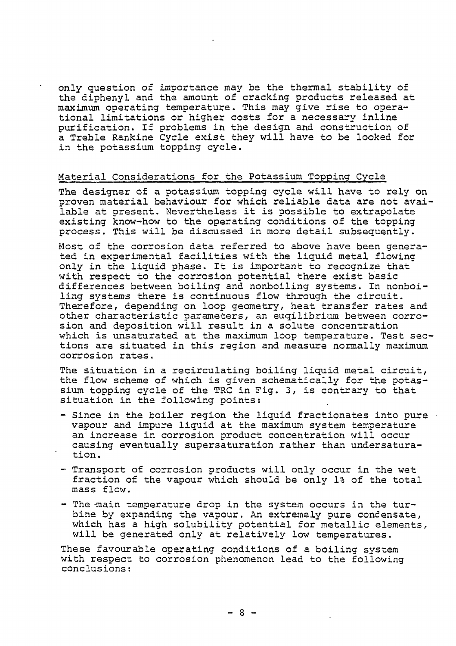only question of importance may be the thermal stability of the diphenyl and the amount of cracking products released at maximum operating temperature. This may give rise to operational limitations or higher costs for a necessary inline purification. If problems in the design and construction of a Treble Rankine Cycle exist they will have to be looked for in the potassium topping cycle.

# Material Considerations for the Potassium Topping Cycle

The designer of a potassium topping cycle will have to rely on proven material behaviour for which reliable data are not available at present. Nevertheless it is possible to extrapolate existing know-how to the operating conditions of the topping process. This will be discussed in more detail subsequently.

Most of the corrosion data referred to above have been generated in experimental facilities with the liquid metal flowing only in the liquid phase. It is important to recognize that with respect to the corrosion potential there exist basic differences between boiling and nonboiling systems. In nonboiling systems there is continuous flow through the circuit. Therefore, depending on loop geometry, heat transfer rates and other characteristic parameters, an euqilibrium between corrosion and deposition will result in a solute concentration which is unsaturated at the maximum loop temperature. Test sections are situated in this region and measure normally maximum corrosion rates.

The situation in a recirculating boiling liquid metal circuit, the flow scheme of which is given schematically for the potassium topping cycle of the TRC in Fig. 3, is contrary to that situation in the following points:

- Since in the boiler region the liquid fractionates into pure vapour and impure liquid at the maximum system temperature an increase in corrosion product concentration will occur causing eventually supersaturation rather than undersaturation.
- Transport of corrosion products will only occur in the wet fraction of the vapour which should be only 1% of the total mass flow.
- The main temperature drop in the system occurs in the turbine by expanding the vapour. An extremely pure condensate, which has a high solubility potential for metallic elements, will be generated only at relatively low temperatures.

These favourable operating conditions of a boiling system with respect to corrosion phenomenon lead to the following conclusions: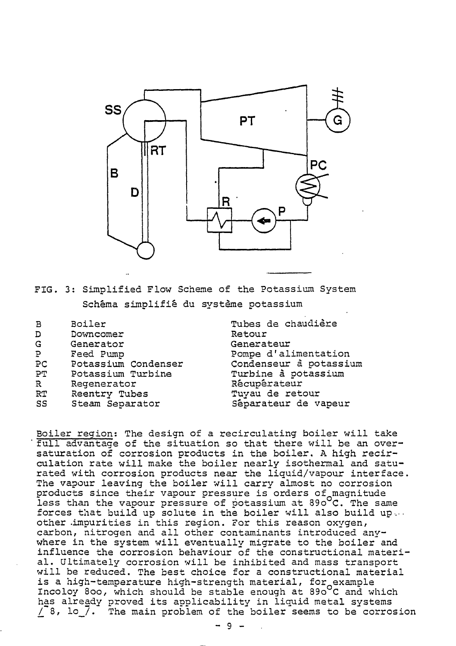

FIG. 3: Simplified Flow Scheme of the Potassium System Schema simplifie du Systeme potassium

| в  | Boiler              |
|----|---------------------|
| D  | Downcomer           |
| G  | Generator           |
| Ρ  | Feed Pump           |
| PC | Potassium Condenser |
| РT | Potassium Turbine   |
| R  | Regenerator         |
| RT | Reentry Tubes       |
| SS | Steam Separator     |
|    |                     |

Tubes de chaudiere Retour Generateur Pompe d'alimentation Condenseur ä potassium Turbine ä potassium Récupérateur Tuyau de retour Separateur de vapeur

Boiler region: The design of a recirculating boiler wil full advantage of the situation so that there will be an oversaturation of corrosion products in the boiler. A high recirculation rate will make the boiler nearly isothermal and saturated with corrosion products near the liquid/vapour interface. The vapour leaving the boiler will carry almost no corrosion products since their vapour pressure is orders of magnitude less than the vapour pressure of potassium at 890°C. The same forces that build up solute in the boiler will also build up... other .impurities in this region. For this reason oxygen, carbon, nitrogen and all other contaminants introduced anywhere in the system will eventually migrate to the boiler and influence the corrosion behaviour of the constructional material. Ultimately corrosion will be inhibited and mass transport will be reduced. The best choice for a constructional material is a high-temperature high-strength material, for example Incoloy 800, which should be stable enough at 890 C and which has already proved its applicability in liquid metal systems  $/$  8, lo<sub>\_</sub>7. The main problem of the boiler seems to be corrosion

 $-9 -$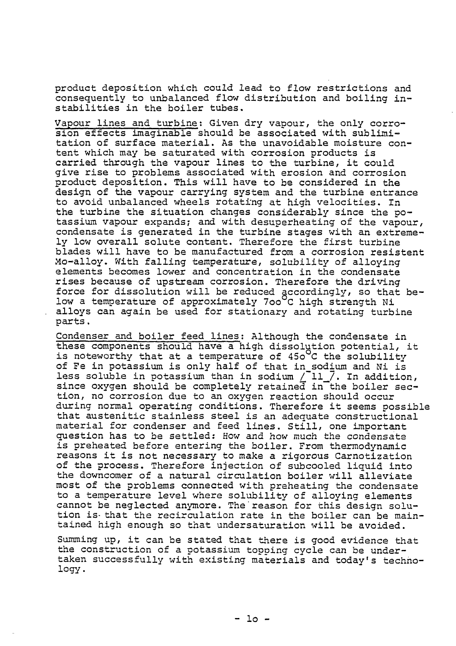product deposition which could lead to flow restrictions and consequently to unbalanced flow distribution and boiling instabilities in the boiler tubes.

Vapour lines and turbine: Given dry vapour, the only corrosion effects imaginable should be associated with sublimitation of surface material. As the unavoidable moisture content which may be saturated with corrosion products is carried through the vapour lines to the turbine, it could give rise to problems associated with erosion and corrosion product deposition. This will have to be considered in the design of the vapour carrying system and the turbine entrance to avoid unbalanced wheels rotating at high velocities. In the turbine the situation changes considerably since the potassium vapour expands? and with desuperheating of the vapour, condensate is generated in the turbine stages with an extremely low overall solute content. Therefore the first turbine blades will have to be manufactured from a corrosion resistent Mo-alloy. With falling temperature, solubility of alloying elements becomes lower and concentration in the condensate rises because of upstream corrosion. Therefore the driving force for dissolution will be reduced accordingly, so that below a temperature of approximately 700°C high strength Ni alloys can again be used for stationary and rotating turbine parts.

Condenser and boiler feed lines; Although the condensate in these components should have a high dissolution potential, it is noteworthy that at a temperature of  $450^{\circ}$ C the solubility of Fe in potassium is only half of that in\_sodium and Ni is less soluble in potassium than in sodium  $/$  Il  $/$ . In addition, since oxygen should be completely retained in the boiler section, no corrosion due to an oxygen reaction should occur during normal operating conditions. Therefore it seems possible that austenitic stainless steel is an adequate constructional material for condenser and feed lines. Still, one important question has to be settled: How and how much the condensate is preheated before entering the boiler. From thermodynamic reasons it is not necessary to make a rigorous Carnotization of the process. Therefore injection of subcooled liquid into the downcomer of a natural circulation boiler will alleviate most of the problems connected with preheating the condensate to a temperature level where solubility of alloying elements cannot be neglected anymore. The reason for this design solution is that the recirculation rate in the boiler can be maintained high enough so that undersaturation will be avoided.

Summing up, it can be stated that there is good evidence that the construction of a potassium topping cycle can be undertaken successfully with existing materials and today's technology .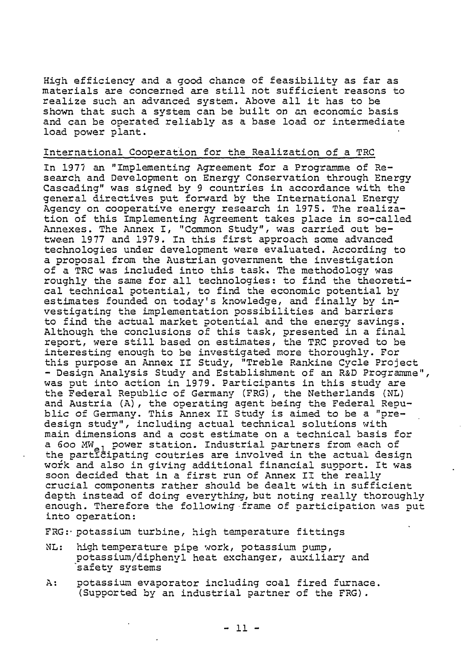High efficiency and a good chance of feasibility as far as materials are concerned are still not sufficient reasons to realize such an advanced system. Above all it has to be shown that such a system can be built on an economic basis and can be operated reliably as a base load or intermediate load power plant.

# International Cooperation for the Realization of a TRC

In 1977 an "Implementing Agreement for a Programme of Research and Development on Energy Conservation through Energy Cascading" was signed by 9 countries in accordance with the general directives put forward by the International Energy Agency on cooperative energy research in 1975. The realization of this Implementing Agreement takes place in so-called Annexes. The Annex I, "Common Study", was carried out between 1977 and 1979. In this first approach some advanced technologies under development were evaluated. According to a proposal from the Austrian government the investigation of a TRC was included into this task. The methodology was roughly the same for all technologies: to find the theoretical technical potential, to find the economic potential by estimates founded on today's knowledge, and finally by investigating the implementation possibilities and barriers to find the actual market potential and the energy savings. Although the conclusions of this task, presented in a final report, were still based on estimates, the TRC proved to be interesting enough to be investigated more thoroughly. For this purpose an Annex II Study, "Treble Rankine Cycle Project - Design Analysis Study and Establishment of an R&D Programme", was put into action in 1979. Participants in this study are the Federal Republic of Germany (FRG), the Netherlands (NL) and Austria (A), the operating agent being the Federal Republic of Germany. This Annex II Study is aimed to be a "predesign study", including actual technical solutions with main dimensions and a cost estimate on a technical basis for a 600 MW<sub>21</sub> power station. Industrial partners from each of the participating coutries are involved in the actual design work and also in giving additional financial support. It was soon decided that in a first run of Annex II the really crucial components rather should be dealt with in sufficient depth instead of doing everything, but noting really thoroughly enough. Therefore the following frame of participation was put into operation:

FRG:- potassium turbine, high temperature fittings

- ML: high temperature pipe work, potassium pump, potassium/diphenyl heat exchanger, auxiliary and safety systems
- A: potassium evaporator including coal fired furnace. (Supported by an industrial partner of the FRG).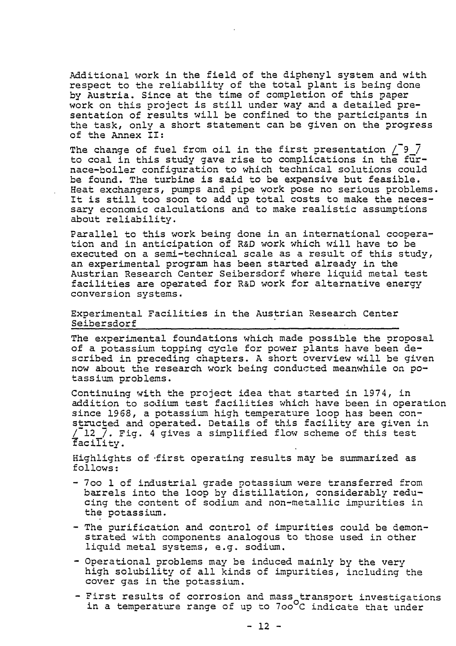Additional work in the field of the diphenyl system and with respect to the reliability of the total plant is being done by Austria. Since at the time of completion of this paper work on this project is still under way and a detailed presentation of results will be confined to the participants in the task, only a short statement can be given on the progress of the Annex II:

The change of fuel from oil in the first presentation  $\sqrt{9}\sqrt{ }$ to coal in this study gave rise to complications in the furnace-boiler configuration to which technical solutions could be found. The turbine is said to be expensive but feasible. Heat exchangers, pumps and pipe work pose no serious problems. It is still too soon to add up total costs to make the necessary economic calculations and to make realistic assumptions about reliability.

Parallel to this work being done in an international cooperation and in anticipation of R&D work which will have to be executed on a semi-technical scale as a result of this study, an experimental program has been started already in the Austrian Research Center Seibersdorf where liquid metal test facilities are operated for R&D work for alternative energy conversion systems.

Experimental Facilities in the Austrian Research Center Seibersdorf

The experimental foundations which made possible the proposal of a potassium topping cycle for power plants have been described in preceding chapters. A short overview will be given now about the research work being conducted meanwhile on potassium problems.

Continuing with the project idea that started in 1974, in addition to sodium test facilities which have been in operation since 1968, a potassium high temperature loop has been constructed and operated. Details of this facility are given in  $^{\prime}$  12  $\,$   $\,$   $\,$  Fig. 4 gives a simplified flow scheme of this test facility.

Highlights of -first operating results may be summarized as follows:

- 7oo 1 of industrial grade potassium were transferred from barrels into the loop by distillation, considerably reducing the content of sodium and non-metallic impurities in the potassium.
- The purification and control of impurities could be demonstrated with components analogous to those used in other liquid metal systems, e.g. sodium.
- Operational problems may be induced mainly by the very high solubility of all kinds of impurities, including the cover gas in the potassium.
- First results of corrosion and mass transport investigations in a temperature range of up to 7oo°C indicate that under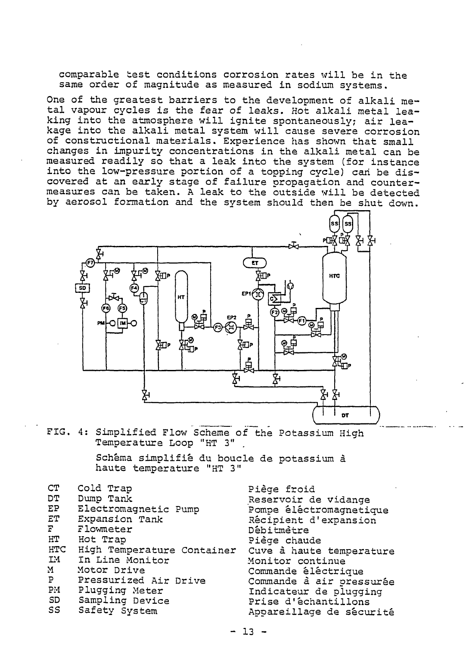comparable test conditions corrosion rates will be in the same order of magnitude as measured in sodium systems.

One of the greatest barriers to the development of alkali metal vapour cycles is the fear of leaks. Hot alkali metal leaking into the atmosphere will ignite spontaneously; air leakage into the alkali metal system will cause severe corrosion of constructional materials. Experience has shown that small changes in impurity concentrations in the alkali metal can be measured readily so that a leak into the system (for instance into the low-pressure portion of a topping cycle) can be discovered at an early stage of failure propagation and countermeasures can be taken. A leak to the outside will be detected by aerosol formation and the system should then be shut down.



FIG. 4: Simplified Flow Scheme of the Potassium High Temperature Loop "HT 3"

> Schema simplifie du boucle de potassium ä haute temperature "HT 3"

- CT Cold Trap<br>DT Dump Tank
- DT Dump Tank<br>EP Electroma
- EP Electromagnetic Pump<br>ET Expansion Tank
- ET Expansion Tank<br>F Flowmeter
- 
- F Flowmeter<br>HT Hot Trap HT Hot Trap<br>HTC High Tem
- HTC High Temperature Container<br>IM In Line Monitor
- IM In Line Monitor<br>M Motor Drive
- M Motor Drive<br>P Pressurized
- P Pressurized Air Drive<br>PM Plugging Meter
- PM Plugging Meter<br>SD Sampling Devic
- SD Sampling Device<br>SS Safety System
- Safety System

Piege froid Reservoir de vidange Pompe éléctromagnetique Récipient d'expansion Debitmetre Piege chaude Cuve a haute temperature Monitor continue Commande electrique Commande à air pressurée Indicateur de plugging Prise d'echantillons Appareillage de sécurité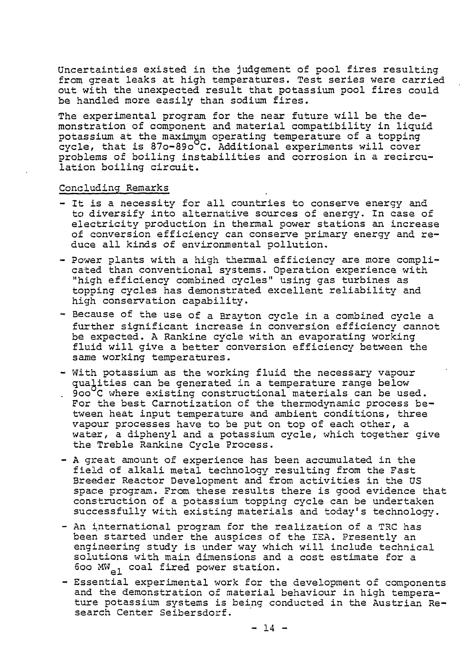Uncertainties existed in the judgement of pool fires resulting from great leaks at high temperatures. Test series were carried out with the unexpected result that potassium pool fires could be handled more easily than sodium fires.

The experimental program for the near future will be the demonstration of component and material compatibility in liquid potassium at the maximum operating temperature of a topping cycle, that is  $870 - 890^\circ$ C. Additional experiments will cover problems of boiling instabilities and corrosion in a recirculation boiling circuit.

# Concluding Remarks

- It is a necessity for all countries to conserve energy and to diversify into alternative sources of energy. In case of electricity production in thermal power stations an increase of conversion efficiency can conserve primary energy and reduce all kinds of environmental pollution.
- Power plants with a high thermal efficiency are more complicated than conventional systems. Operation experience with "high efficiency combined cycles" using gas turbines as topping cycles has demonstrated excellent reliability and high conservation capability.
- Because of the use of a Brayton cycle in a combined cycle a further significant increase in conversion efficiency cannot be expected. A Rankine cycle with an evaporating working fluid will give a better conversion efficiency between the same working temperatures.
- With potassium as the working fluid the necessary vapour qualities can be generated in a temperature range below 900°C where existing constructional materials can be used. For the best Carnotization of the thermodynamic process between heat input temperature and ambient conditions, three vapour processes have to be put on top of each other, a water, a diphenyl and a potassium cycle, which together give the Treble Rankine Cycle Process.
- A great amount of experience has been accumulated in the field of alkali metal technology resulting from the Fast Breeder Reactor Development and from activities in the US space program. From these results there is good evidence that construction of a potassium topping cycle can be undertaken successfully with existing materials and today's technology.
- An international program for the realization of a TRC has been started under the auspices of the ISA. Presently an engineering study is under way which will include technical solutions with main dimensions and a cost estimate for a 600  $\text{MW}_{\text{a1}}$  coal fired power station.
- Essential experimental work for the development of components and the demonstration of material behaviour in high temperature potassium systems is being conducted in the Austrian Research Center Seibersdorf.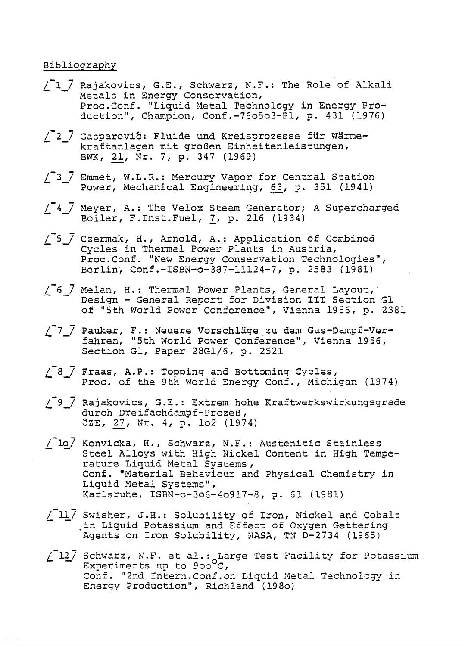# Bibliography

- /~1\_7 Rajakovics, G.E., Schwarz, N.F.: The Role of Alkali Metals in Energy Conservation, Proc.Conf. "Liquid Metal Technology in Energy Production", Champion, Conf.-76o5o3-Pl, p. 431 (1976)
- / 2 / Gasparović: Fluide und Kreisprozesse für Wärmekraftanlagen mit großen Einheitenleistungen, BWK, 21, Nr. 7, p. 34
- /<sup>7</sup>3  $\bar{7}$  Emmet, W.L.R.: Mercury Vapor for Central Station Power, Mechanical Engineering, 63, p. 351 (1941)
- $/$  $4$  $/$  Meyer, A.: The Velox Steam Generator; A Supercharged Boiler, F.Inst.Fuel, 7, p. 216 (1934)
- /\_~5\_7 Czermak, H., Arnold, A.: Application of Combined Cycles in Thermal Power Plants in Austria, Proc.Conf. "New Energy Conservation Technologies", Berlin, Conf.-ISBN-o-387-11124-7, p. 2583 (1981)
- /\_~6\_7 Melan, H.: Thermal Power Plants, General Layout,' Design - General Report for Division III Section Gl of "5th World Power Conference", Vienna 1956, p. 2381
- /\_~7\_\_7 Pauker, F.: Neuere Vorschläge zu dem Gas-Dampf-Verfahren, "5th World Power Conference", Vienna 1956, Section Gl, Paper 28G1/5, p. 2521
- $/$   $\overline{8}$   $\overline{7}$  Fraas, A.P.: Topping and Bottoming Cycles, Proc. of the 9th World Energy Conf., Michigan (1974)
- /\_ 9\_7 Rajakovics, G.E.: Extrem hohe Kraftwerkswirkungsgrade durch Dreifachdampf-Prozeß, ÖZE, 27, Nr. 4, p. Io2 (1974)
- /~lo/ Konvicka, H., Schwarz, N.F.: Austenitic Stainless Steel Alloys with High Nickel Content in High Temperature Liquid Metal Systems , Conf. "Material Behaviour and Physical Chemistry in Liquid Metal Systems", Karlsruhe, ISBN-o-3o6-4o917-8, p. 61 (1981)
- / 117 Swisher, J.H.: Solubility of Iron, Nickel and Cobalt .in Liquid Potassium and Effect of Oxygen Gettering Agents on Iron Solubility, NASA, TN D-2734 (1965)
- $\sqrt{2}$  Schwarz, N.F. et al.: Large Test Facility for Potassium Experiments up to  $900^{\circ}$ C, Conf. "2nd Intern.Conf.on Liquid Metal Technology in Energy Production", Richland (19 8o)